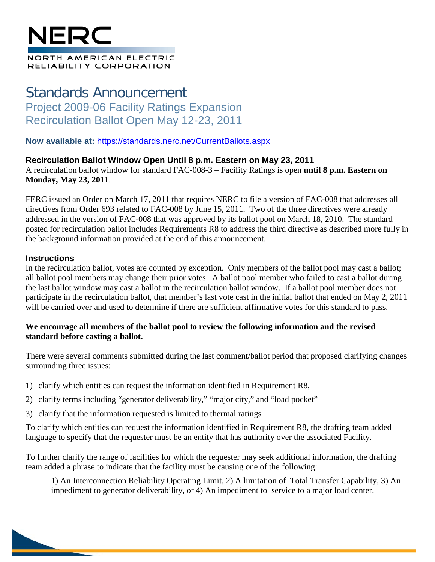# NFR

#### NORTH AMERICAN ELECTRIC RELIABILITY CORPORATION

## Standards Announcement Project 2009-06 Facility Ratings Expansion Recirculation Ballot Open May 12-23, 2011

**Now available at:** <https://standards.nerc.net/CurrentBallots.aspx>

#### **Recirculation Ballot Window Open Until 8 p.m. Eastern on May 23, 2011**

A recirculation ballot window for standard FAC-008-3 – Facility Ratings is open **until 8 p.m. Eastern on Monday, May 23, 2011**.

FERC issued an Order on March 17, 2011 that requires NERC to file a version of FAC-008 that addresses all directives from Order 693 related to FAC-008 by June 15, 2011. Two of the three directives were already addressed in the version of FAC-008 that was approved by its ballot pool on March 18, 2010. The standard posted for recirculation ballot includes Requirements R8 to address the third directive as described more fully in the background information provided at the end of this announcement.

#### **Instructions**

In the recirculation ballot, votes are counted by exception. Only members of the ballot pool may cast a ballot; all ballot pool members may change their prior votes. A ballot pool member who failed to cast a ballot during the last ballot window may cast a ballot in the recirculation ballot window. If a ballot pool member does not participate in the recirculation ballot, that member's last vote cast in the initial ballot that ended on May 2, 2011 will be carried over and used to determine if there are sufficient affirmative votes for this standard to pass.

#### **We encourage all members of the ballot pool to review the following information and the revised standard before casting a ballot.**

There were several comments submitted during the last comment/ballot period that proposed clarifying changes surrounding three issues:

- 1) clarify which entities can request the information identified in Requirement R8,
- 2) clarify terms including "generator deliverability," "major city," and "load pocket"
- 3) clarify that the information requested is limited to thermal ratings

To clarify which entities can request the information identified in Requirement R8, the drafting team added language to specify that the requester must be an entity that has authority over the associated Facility.

To further clarify the range of facilities for which the requester may seek additional information, the drafting team added a phrase to indicate that the facility must be causing one of the following:

1) An Interconnection Reliability Operating Limit, 2) A limitation of Total Transfer Capability, 3) An impediment to generator deliverability, or 4) An impediment to service to a major load center.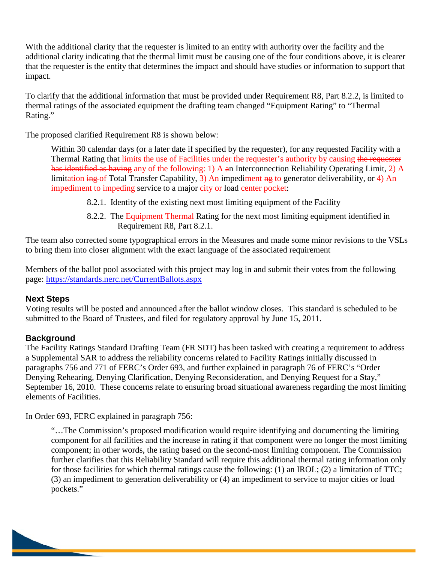With the additional clarity that the requester is limited to an entity with authority over the facility and the additional clarity indicating that the thermal limit must be causing one of the four conditions above, it is clearer that the requester is the entity that determines the impact and should have studies or information to support that impact.

To clarify that the additional information that must be provided under Requirement R8, Part 8.2.2, is limited to thermal ratings of the associated equipment the drafting team changed "Equipment Rating" to "Thermal Rating."

The proposed clarified Requirement R8 is shown below:

Within 30 calendar days (or a later date if specified by the requester), for any requested Facility with a Thermal Rating that limits the use of Facilities under the requester's authority by causing the requester has identified as having any of the following: 1) A an Interconnection Reliability Operating Limit, 2) A limitation ing of Total Transfer Capability, 3) An impediment ng to generator deliverability, or 4) An impediment to impeding service to a major city or load center pocket:

- 8.2.1. Identity of the existing next most limiting equipment of the Facility
- 8.2.2. The Equipment-Thermal Rating for the next most limiting equipment identified in Requirement R8, Part 8.2.1.

The team also corrected some typographical errors in the Measures and made some minor revisions to the VSLs to bring them into closer alignment with the exact language of the associated requirement

Members of the ballot pool associated with this project may log in and submit their votes from the following page:<https://standards.nerc.net/CurrentBallots.aspx>

#### **Next Steps**

Voting results will be posted and announced after the ballot window closes. This standard is scheduled to be submitted to the Board of Trustees, and filed for regulatory approval by June 15, 2011.

### **Background**

The Facility Ratings Standard Drafting Team (FR SDT) has been tasked with creating a requirement to address a Supplemental SAR to address the reliability concerns related to Facility Ratings initially discussed in paragraphs 756 and 771 of FERC's Order 693, and further explained in paragraph 76 of FERC's "Order Denying Rehearing, Denying Clarification, Denying Reconsideration, and Denying Request for a Stay," September 16, 2010. These concerns relate to ensuring broad situational awareness regarding the most limiting elements of Facilities.

In Order 693, FERC explained in paragraph 756:

"…The Commission's proposed modification would require identifying and documenting the limiting component for all facilities and the increase in rating if that component were no longer the most limiting component; in other words, the rating based on the second-most limiting component. The Commission further clarifies that this Reliability Standard will require this additional thermal rating information only for those facilities for which thermal ratings cause the following: (1) an IROL; (2) a limitation of TTC; (3) an impediment to generation deliverability or (4) an impediment to service to major cities or load pockets."